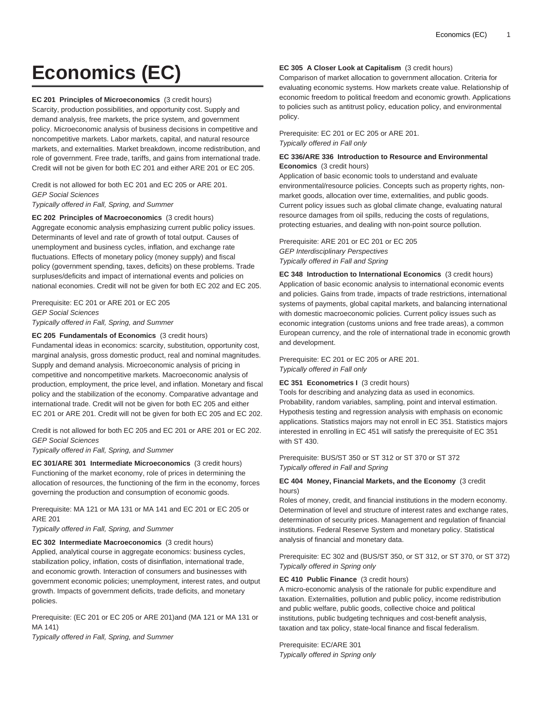# **Economics (EC)**

#### **EC 201 Principles of Microeconomics** (3 credit hours)

Scarcity, production possibilities, and opportunity cost. Supply and demand analysis, free markets, the price system, and government policy. Microeconomic analysis of business decisions in competitive and noncompetitive markets. Labor markets, capital, and natural resource markets, and externalities. Market breakdown, income redistribution, and role of government. Free trade, tariffs, and gains from international trade. Credit will not be given for both EC 201 and either ARE 201 or EC 205.

Credit is not allowed for both EC 201 and EC 205 or ARE 201. GEP Social Sciences

Typically offered in Fall, Spring, and Summer

#### **EC 202 Principles of Macroeconomics** (3 credit hours)

Aggregate economic analysis emphasizing current public policy issues. Determinants of level and rate of growth of total output. Causes of unemployment and business cycles, inflation, and exchange rate fluctuations. Effects of monetary policy (money supply) and fiscal policy (government spending, taxes, deficits) on these problems. Trade surpluses/deficits and impact of international events and policies on national economies. Credit will not be given for both EC 202 and EC 205.

# Prerequisite: EC 201 or ARE 201 or EC 205 GEP Social Sciences Typically offered in Fall, Spring, and Summer

#### **EC 205 Fundamentals of Economics** (3 credit hours)

Fundamental ideas in economics: scarcity, substitution, opportunity cost, marginal analysis, gross domestic product, real and nominal magnitudes. Supply and demand analysis. Microeconomic analysis of pricing in competitive and noncompetitive markets. Macroeconomic analysis of production, employment, the price level, and inflation. Monetary and fiscal policy and the stabilization of the economy. Comparative advantage and international trade. Credit will not be given for both EC 205 and either EC 201 or ARE 201. Credit will not be given for both EC 205 and EC 202.

Credit is not allowed for both EC 205 and EC 201 or ARE 201 or EC 202. GEP Social Sciences

Typically offered in Fall, Spring, and Summer

**EC 301/ARE 301 Intermediate Microeconomics** (3 credit hours) Functioning of the market economy, role of prices in determining the allocation of resources, the functioning of the firm in the economy, forces governing the production and consumption of economic goods.

Prerequisite: MA 121 or MA 131 or MA 141 and EC 201 or EC 205 or ARE 201

Typically offered in Fall, Spring, and Summer

**EC 302 Intermediate Macroeconomics** (3 credit hours) Applied, analytical course in aggregate economics: business cycles, stabilization policy, inflation, costs of disinflation, international trade, and economic growth. Interaction of consumers and businesses with government economic policies; unemployment, interest rates, and output growth. Impacts of government deficits, trade deficits, and monetary policies.

Prerequisite: (EC 201 or EC 205 or ARE 201)and (MA 121 or MA 131 or MA 141)

Typically offered in Fall, Spring, and Summer

# **EC 305 A Closer Look at Capitalism** (3 credit hours)

Comparison of market allocation to government allocation. Criteria for evaluating economic systems. How markets create value. Relationship of economic freedom to political freedom and economic growth. Applications to policies such as antitrust policy, education policy, and environmental policy.

Prerequisite: EC 201 or EC 205 or ARE 201. Typically offered in Fall only

# **EC 336/ARE 336 Introduction to Resource and Environmental Economics** (3 credit hours)

Application of basic economic tools to understand and evaluate environmental/resource policies. Concepts such as property rights, nonmarket goods, allocation over time, externalities, and public goods. Current policy issues such as global climate change, evaluating natural resource damages from oil spills, reducing the costs of regulations, protecting estuaries, and dealing with non-point source pollution.

Prerequisite: ARE 201 or EC 201 or EC 205 GEP Interdisciplinary Perspectives Typically offered in Fall and Spring

**EC 348 Introduction to International Economics** (3 credit hours) Application of basic economic analysis to international economic events and policies. Gains from trade, impacts of trade restrictions, international systems of payments, global capital markets, and balancing international with domestic macroeconomic policies. Current policy issues such as economic integration (customs unions and free trade areas), a common European currency, and the role of international trade in economic growth and development.

Prerequisite: EC 201 or EC 205 or ARE 201. Typically offered in Fall only

# **EC 351 Econometrics I** (3 credit hours)

Tools for describing and analyzing data as used in economics. Probability, random variables, sampling, point and interval estimation. Hypothesis testing and regression analysis with emphasis on economic applications. Statistics majors may not enroll in EC 351. Statistics majors interested in enrolling in EC 451 will satisfy the prerequisite of EC 351 with ST 430.

Prerequisite: BUS/ST 350 or ST 312 or ST 370 or ST 372 Typically offered in Fall and Spring

# **EC 404 Money, Financial Markets, and the Economy** (3 credit hours)

Roles of money, credit, and financial institutions in the modern economy. Determination of level and structure of interest rates and exchange rates, determination of security prices. Management and regulation of financial institutions. Federal Reserve System and monetary policy. Statistical analysis of financial and monetary data.

Prerequisite: EC 302 and (BUS/ST 350, or ST 312, or ST 370, or ST 372) Typically offered in Spring only

#### **EC 410 Public Finance** (3 credit hours)

A micro-economic analysis of the rationale for public expenditure and taxation. Externalities, pollution and public policy, income redistribution and public welfare, public goods, collective choice and political institutions, public budgeting techniques and cost-benefit analysis, taxation and tax policy, state-local finance and fiscal federalism.

Prerequisite: EC/ARE 301 Typically offered in Spring only